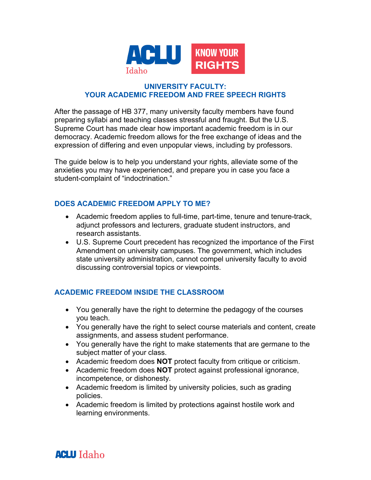

## **UNIVERSITY FACULTY: YOUR ACADEMIC FREEDOM AND FREE SPEECH RIGHTS**

After the passage of HB 377, many university faculty members have found preparing syllabi and teaching classes stressful and fraught. But the U.S. Supreme Court has made clear how important academic freedom is in our democracy. Academic freedom allows for the free exchange of ideas and the expression of differing and even unpopular views, including by professors.

The guide below is to help you understand your rights, alleviate some of the anxieties you may have experienced, and prepare you in case you face a student-complaint of "indoctrination."

# **DOES ACADEMIC FREEDOM APPLY TO ME?**

- Academic freedom applies to full-time, part-time, tenure and tenure-track, adjunct professors and lecturers, graduate student instructors, and research assistants.
- U.S. Supreme Court precedent has recognized the importance of the First Amendment on university campuses. The government, which includes state university administration, cannot compel university faculty to avoid discussing controversial topics or viewpoints.

# **ACADEMIC FREEDOM INSIDE THE CLASSROOM**

- You generally have the right to determine the pedagogy of the courses you teach.
- You generally have the right to select course materials and content, create assignments, and assess student performance.
- You generally have the right to make statements that are germane to the subject matter of your class.
- Academic freedom does **NOT** protect faculty from critique or criticism.
- Academic freedom does **NOT** protect against professional ignorance, incompetence, or dishonesty.
- Academic freedom is limited by university policies, such as grading policies.
- Academic freedom is limited by protections against hostile work and learning environments.

**ACLU** Idaho